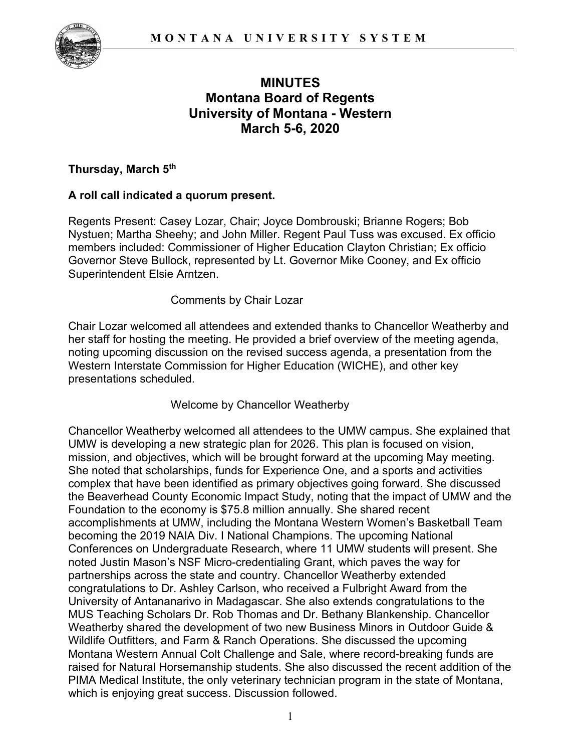

# **MINUTES Montana Board of Regents University of Montana - Western March 5-6, 2020**

### **Thursday, March 5th**

# **A roll call indicated a quorum present.**

Regents Present: Casey Lozar, Chair; Joyce Dombrouski; Brianne Rogers; Bob Nystuen; Martha Sheehy; and John Miller. Regent Paul Tuss was excused. Ex officio members included: Commissioner of Higher Education Clayton Christian; Ex officio Governor Steve Bullock, represented by Lt. Governor Mike Cooney, and Ex officio Superintendent Elsie Arntzen.

### Comments by Chair Lozar

Chair Lozar welcomed all attendees and extended thanks to Chancellor Weatherby and her staff for hosting the meeting. He provided a brief overview of the meeting agenda, noting upcoming discussion on the revised success agenda, a presentation from the Western Interstate Commission for Higher Education (WICHE), and other key presentations scheduled.

### Welcome by Chancellor Weatherby

Chancellor Weatherby welcomed all attendees to the UMW campus. She explained that UMW is developing a new strategic plan for 2026. This plan is focused on vision, mission, and objectives, which will be brought forward at the upcoming May meeting. She noted that scholarships, funds for Experience One, and a sports and activities complex that have been identified as primary objectives going forward. She discussed the Beaverhead County Economic Impact Study, noting that the impact of UMW and the Foundation to the economy is \$75.8 million annually. She shared recent accomplishments at UMW, including the Montana Western Women's Basketball Team becoming the 2019 NAIA Div. I National Champions. The upcoming National Conferences on Undergraduate Research, where 11 UMW students will present. She noted Justin Mason's NSF Micro-credentialing Grant, which paves the way for partnerships across the state and country. Chancellor Weatherby extended congratulations to Dr. Ashley Carlson, who received a Fulbright Award from the University of Antananarivo in Madagascar. She also extends congratulations to the MUS Teaching Scholars Dr. Rob Thomas and Dr. Bethany Blankenship. Chancellor Weatherby shared the development of two new Business Minors in Outdoor Guide & Wildlife Outfitters, and Farm & Ranch Operations. She discussed the upcoming Montana Western Annual Colt Challenge and Sale, where record-breaking funds are raised for Natural Horsemanship students. She also discussed the recent addition of the PIMA Medical Institute, the only veterinary technician program in the state of Montana, which is enjoying great success. Discussion followed.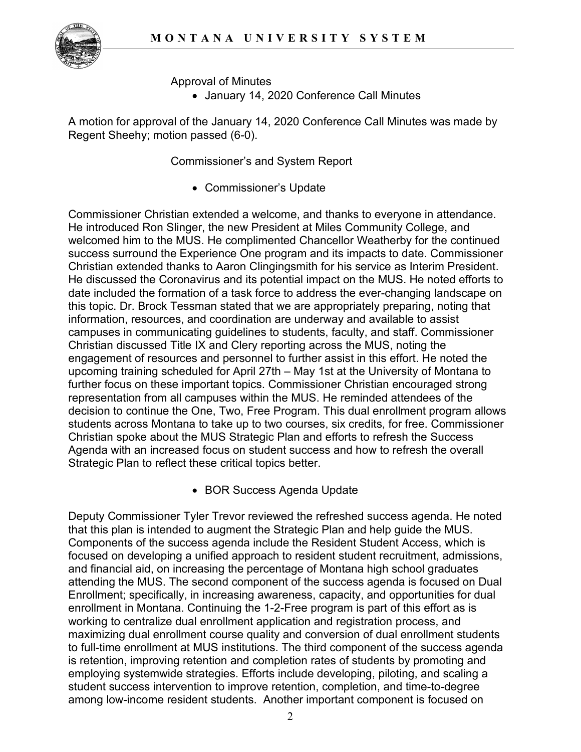

Approval of Minutes

• January 14, 2020 Conference Call Minutes

A motion for approval of the January 14, 2020 Conference Call Minutes was made by Regent Sheehy; motion passed (6-0).

Commissioner's and System Report

• Commissioner's Update

Commissioner Christian extended a welcome, and thanks to everyone in attendance. He introduced Ron Slinger, the new President at Miles Community College, and welcomed him to the MUS. He complimented Chancellor Weatherby for the continued success surround the Experience One program and its impacts to date. Commissioner Christian extended thanks to Aaron Clingingsmith for his service as Interim President. He discussed the Coronavirus and its potential impact on the MUS. He noted efforts to date included the formation of a task force to address the ever-changing landscape on this topic. Dr. Brock Tessman stated that we are appropriately preparing, noting that information, resources, and coordination are underway and available to assist campuses in communicating guidelines to students, faculty, and staff. Commissioner Christian discussed Title IX and Clery reporting across the MUS, noting the engagement of resources and personnel to further assist in this effort. He noted the upcoming training scheduled for April 27th – May 1st at the University of Montana to further focus on these important topics. Commissioner Christian encouraged strong representation from all campuses within the MUS. He reminded attendees of the decision to continue the One, Two, Free Program. This dual enrollment program allows students across Montana to take up to two courses, six credits, for free. Commissioner Christian spoke about the MUS Strategic Plan and efforts to refresh the Success Agenda with an increased focus on student success and how to refresh the overall Strategic Plan to reflect these critical topics better.

• BOR Success Agenda Update

Deputy Commissioner Tyler Trevor reviewed the refreshed success agenda. He noted that this plan is intended to augment the Strategic Plan and help guide the MUS. Components of the success agenda include the Resident Student Access, which is focused on developing a unified approach to resident student recruitment, admissions, and financial aid, on increasing the percentage of Montana high school graduates attending the MUS. The second component of the success agenda is focused on Dual Enrollment; specifically, in increasing awareness, capacity, and opportunities for dual enrollment in Montana. Continuing the 1-2-Free program is part of this effort as is working to centralize dual enrollment application and registration process, and maximizing dual enrollment course quality and conversion of dual enrollment students to full-time enrollment at MUS institutions. The third component of the success agenda is retention, improving retention and completion rates of students by promoting and employing systemwide strategies. Efforts include developing, piloting, and scaling a student success intervention to improve retention, completion, and time-to-degree among low-income resident students. Another important component is focused on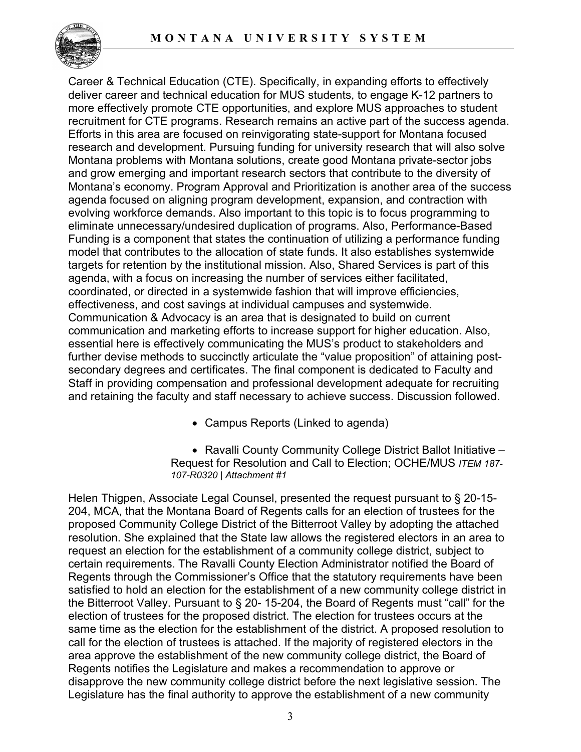

Career & Technical Education (CTE). Specifically, in expanding efforts to effectively deliver career and technical education for MUS students, to engage K-12 partners to more effectively promote CTE opportunities, and explore MUS approaches to student recruitment for CTE programs. Research remains an active part of the success agenda. Efforts in this area are focused on reinvigorating state-support for Montana focused research and development. Pursuing funding for university research that will also solve Montana problems with Montana solutions, create good Montana private-sector jobs and grow emerging and important research sectors that contribute to the diversity of Montana's economy. Program Approval and Prioritization is another area of the success agenda focused on aligning program development, expansion, and contraction with evolving workforce demands. Also important to this topic is to focus programming to eliminate unnecessary/undesired duplication of programs. Also, Performance-Based Funding is a component that states the continuation of utilizing a performance funding model that contributes to the allocation of state funds. It also establishes systemwide targets for retention by the institutional mission. Also, Shared Services is part of this agenda, with a focus on increasing the number of services either facilitated, coordinated, or directed in a systemwide fashion that will improve efficiencies, effectiveness, and cost savings at individual campuses and systemwide. Communication & Advocacy is an area that is designated to build on current communication and marketing efforts to increase support for higher education. Also, essential here is effectively communicating the MUS's product to stakeholders and further devise methods to succinctly articulate the "value proposition" of attaining postsecondary degrees and certificates. The final component is dedicated to Faculty and Staff in providing compensation and professional development adequate for recruiting and retaining the faculty and staff necessary to achieve success. Discussion followed.

• Campus Reports (Linked to agenda)

• Ravalli County Community College District Ballot Initiative – Request for Resolution and Call to Election; OCHE/MUS *ITEM 187- 107-R0320 | Attachment #1*

Helen Thigpen, Associate Legal Counsel, presented the request pursuant to § 20-15- 204, MCA, that the Montana Board of Regents calls for an election of trustees for the proposed Community College District of the Bitterroot Valley by adopting the attached resolution. She explained that the State law allows the registered electors in an area to request an election for the establishment of a community college district, subject to certain requirements. The Ravalli County Election Administrator notified the Board of Regents through the Commissioner's Office that the statutory requirements have been satisfied to hold an election for the establishment of a new community college district in the Bitterroot Valley. Pursuant to § 20- 15-204, the Board of Regents must "call" for the election of trustees for the proposed district. The election for trustees occurs at the same time as the election for the establishment of the district. A proposed resolution to call for the election of trustees is attached. If the majority of registered electors in the area approve the establishment of the new community college district, the Board of Regents notifies the Legislature and makes a recommendation to approve or disapprove the new community college district before the next legislative session. The Legislature has the final authority to approve the establishment of a new community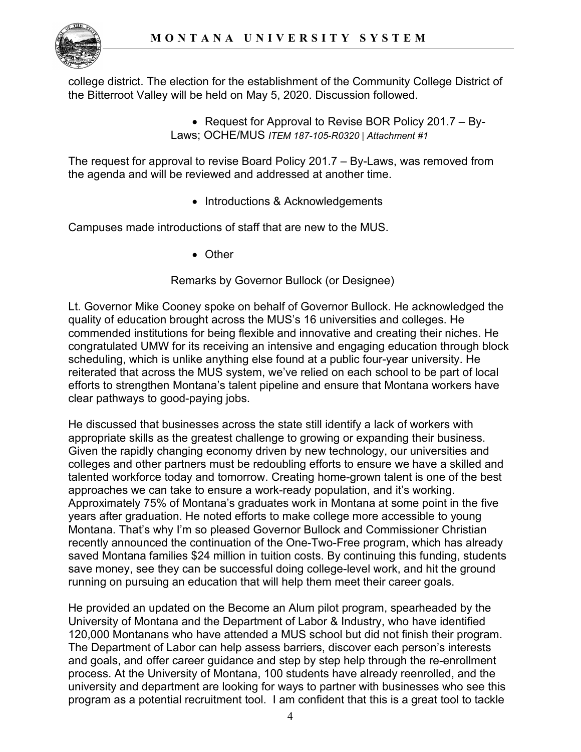

college district. The election for the establishment of the Community College District of the Bitterroot Valley will be held on May 5, 2020. Discussion followed.

> • Request for Approval to Revise BOR Policy 201.7 – By-Laws; OCHE/MUS *ITEM 187-105-R0320 | Attachment #1*

The request for approval to revise Board Policy 201.7 – By-Laws, was removed from the agenda and will be reviewed and addressed at another time.

• Introductions & Acknowledgements

Campuses made introductions of staff that are new to the MUS.

• Other

Remarks by Governor Bullock (or Designee)

Lt. Governor Mike Cooney spoke on behalf of Governor Bullock. He acknowledged the quality of education brought across the MUS's 16 universities and colleges. He commended institutions for being flexible and innovative and creating their niches. He congratulated UMW for its receiving an intensive and engaging education through block scheduling, which is unlike anything else found at a public four-year university. He reiterated that across the MUS system, we've relied on each school to be part of local efforts to strengthen Montana's talent pipeline and ensure that Montana workers have clear pathways to good-paying jobs.

He discussed that businesses across the state still identify a lack of workers with appropriate skills as the greatest challenge to growing or expanding their business. Given the rapidly changing economy driven by new technology, our universities and colleges and other partners must be redoubling efforts to ensure we have a skilled and talented workforce today and tomorrow. Creating home-grown talent is one of the best approaches we can take to ensure a work-ready population, and it's working. Approximately 75% of Montana's graduates work in Montana at some point in the five years after graduation. He noted efforts to make college more accessible to young Montana. That's why I'm so pleased Governor Bullock and Commissioner Christian recently announced the continuation of the One-Two-Free program, which has already saved Montana families \$24 million in tuition costs. By continuing this funding, students save money, see they can be successful doing college-level work, and hit the ground running on pursuing an education that will help them meet their career goals.

He provided an updated on the Become an Alum pilot program, spearheaded by the University of Montana and the Department of Labor & Industry, who have identified 120,000 Montanans who have attended a MUS school but did not finish their program. The Department of Labor can help assess barriers, discover each person's interests and goals, and offer career guidance and step by step help through the re-enrollment process. At the University of Montana, 100 students have already reenrolled, and the university and department are looking for ways to partner with businesses who see this program as a potential recruitment tool. I am confident that this is a great tool to tackle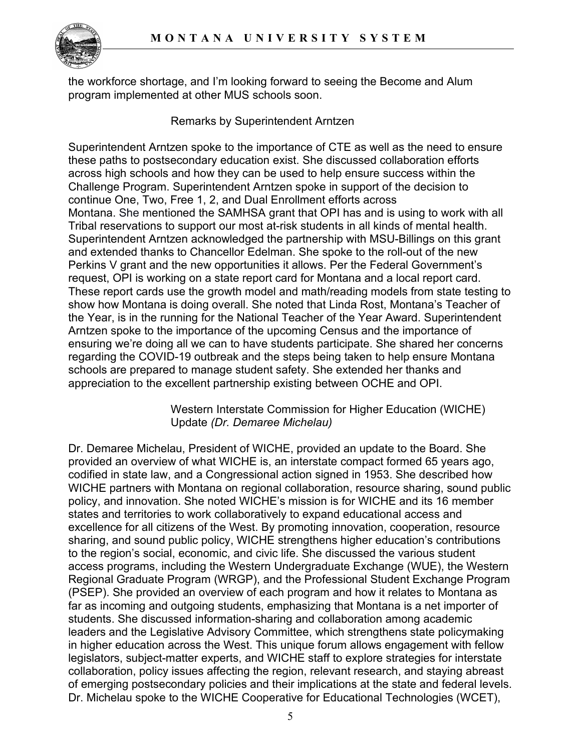

the workforce shortage, and I'm looking forward to seeing the Become and Alum program implemented at other MUS schools soon.

### Remarks by Superintendent Arntzen

Superintendent Arntzen spoke to the importance of CTE as well as the need to ensure these paths to postsecondary education exist. She discussed collaboration efforts across high schools and how they can be used to help ensure success within the Challenge Program. Superintendent Arntzen spoke in support of the decision to continue One, Two, Free 1, 2, and Dual Enrollment efforts across Montana. She mentioned the SAMHSA grant that OPI has and is using to work with all Tribal reservations to support our most at-risk students in all kinds of mental health. Superintendent Arntzen acknowledged the partnership with MSU-Billings on this grant and extended thanks to Chancellor Edelman. She spoke to the roll-out of the new Perkins V grant and the new opportunities it allows. Per the Federal Government's request, OPI is working on a state report card for Montana and a local report card. These report cards use the growth model and math/reading models from state testing to show how Montana is doing overall. She noted that Linda Rost, Montana's Teacher of the Year, is in the running for the National Teacher of the Year Award. Superintendent Arntzen spoke to the importance of the upcoming Census and the importance of ensuring we're doing all we can to have students participate. She shared her concerns regarding the COVID-19 outbreak and the steps being taken to help ensure Montana schools are prepared to manage student safety. She extended her thanks and appreciation to the excellent partnership existing between OCHE and OPI.

> Western Interstate Commission for Higher Education (WICHE) Update *(Dr. Demaree Michelau)*

Dr. Demaree Michelau, President of WICHE, provided an update to the Board. She provided an overview of what WICHE is, an interstate compact formed 65 years ago, codified in state law, and a Congressional action signed in 1953. She described how WICHE partners with Montana on regional collaboration, resource sharing, sound public policy, and innovation. She noted WICHE's mission is for WICHE and its 16 member states and territories to work collaboratively to expand educational access and excellence for all citizens of the West. By promoting innovation, cooperation, resource sharing, and sound public policy, WICHE strengthens higher education's contributions to the region's social, economic, and civic life. She discussed the various student access programs, including the Western Undergraduate Exchange (WUE), the Western Regional Graduate Program (WRGP), and the Professional Student Exchange Program (PSEP). She provided an overview of each program and how it relates to Montana as far as incoming and outgoing students, emphasizing that Montana is a net importer of students. She discussed information-sharing and collaboration among academic leaders and the Legislative Advisory Committee, which strengthens state policymaking in higher education across the West. This unique forum allows engagement with fellow legislators, subject-matter experts, and WICHE staff to explore strategies for interstate collaboration, policy issues affecting the region, relevant research, and staying abreast of emerging postsecondary policies and their implications at the state and federal levels. Dr. Michelau spoke to the WICHE Cooperative for Educational Technologies (WCET),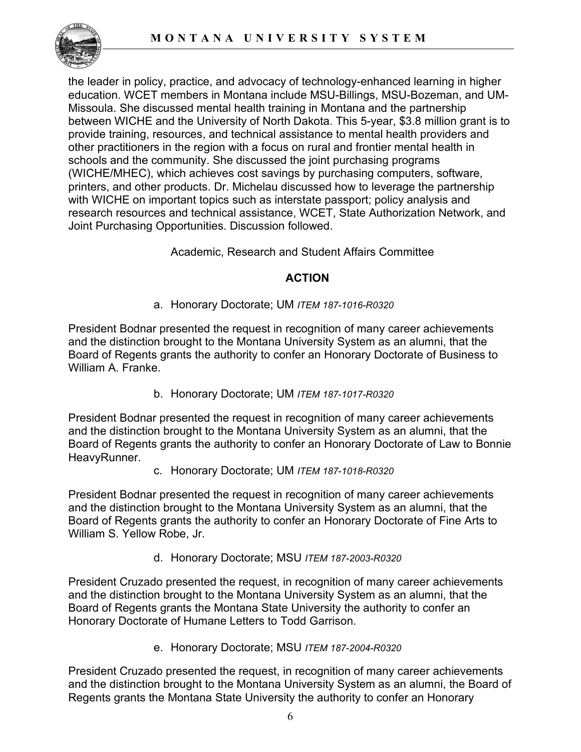

the leader in policy, practice, and advocacy of technology-enhanced learning in higher education. WCET members in Montana include MSU-Billings, MSU-Bozeman, and UM-Missoula. She discussed mental health training in Montana and the partnership between WICHE and the University of North Dakota. This 5-year, \$3.8 million grant is to provide training, resources, and technical assistance to mental health providers and other practitioners in the region with a focus on rural and frontier mental health in schools and the community. She discussed the joint purchasing programs (WICHE/MHEC), which achieves cost savings by purchasing computers, software, printers, and other products. Dr. Michelau discussed how to leverage the partnership with WICHE on important topics such as interstate passport; policy analysis and research resources and technical assistance, WCET, State Authorization Network, and Joint Purchasing Opportunities. Discussion followed.

Academic, Research and Student Affairs Committee

# **ACTION**

# a. Honorary Doctorate; UM *ITEM 187-1016-R0320*

President Bodnar presented the request in recognition of many career achievements and the distinction brought to the Montana University System as an alumni, that the Board of Regents grants the authority to confer an Honorary Doctorate of Business to William A. Franke.

b. Honorary Doctorate; UM *ITEM 187-1017-R0320*

President Bodnar presented the request in recognition of many career achievements and the distinction brought to the Montana University System as an alumni, that the Board of Regents grants the authority to confer an Honorary Doctorate of Law to Bonnie HeavyRunner.

c. Honorary Doctorate; UM *ITEM 187-1018-R0320*

President Bodnar presented the request in recognition of many career achievements and the distinction brought to the Montana University System as an alumni, that the Board of Regents grants the authority to confer an Honorary Doctorate of Fine Arts to William S. Yellow Robe, Jr.

d. Honorary Doctorate; MSU *ITEM 187-2003-R0320*

President Cruzado presented the request, in recognition of many career achievements and the distinction brought to the Montana University System as an alumni, that the Board of Regents grants the Montana State University the authority to confer an Honorary Doctorate of Humane Letters to Todd Garrison.

e. Honorary Doctorate; MSU *ITEM 187-2004-R0320*

President Cruzado presented the request, in recognition of many career achievements and the distinction brought to the Montana University System as an alumni, the Board of Regents grants the Montana State University the authority to confer an Honorary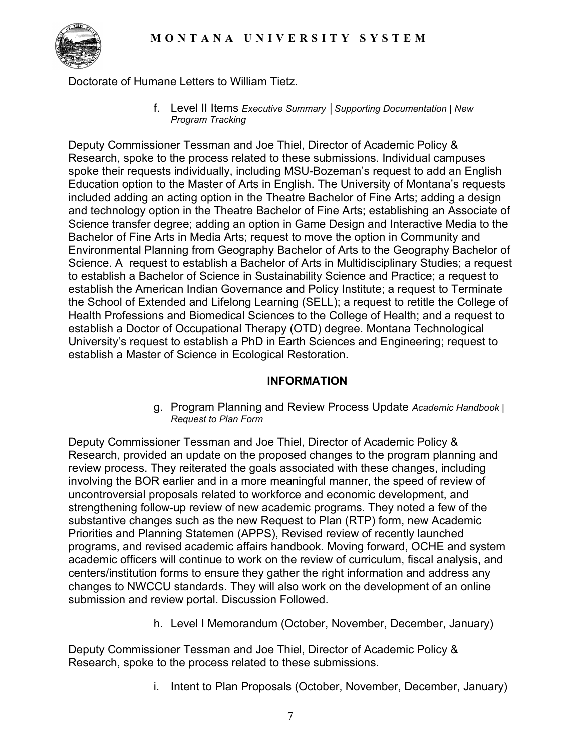

Doctorate of Humane Letters to William Tietz.

f. Level II Items *Executive Summary │Supporting Documentation | New Program Tracking*

Deputy Commissioner Tessman and Joe Thiel, Director of Academic Policy & Research, spoke to the process related to these submissions. Individual campuses spoke their requests individually, including MSU-Bozeman's request to add an English Education option to the Master of Arts in English. The University of Montana's requests included adding an acting option in the Theatre Bachelor of Fine Arts; adding a design and technology option in the Theatre Bachelor of Fine Arts; establishing an Associate of Science transfer degree; adding an option in Game Design and Interactive Media to the Bachelor of Fine Arts in Media Arts; request to move the option in Community and Environmental Planning from Geography Bachelor of Arts to the Geography Bachelor of Science. A request to establish a Bachelor of Arts in Multidisciplinary Studies; a request to establish a Bachelor of Science in Sustainability Science and Practice; a request to establish the American Indian Governance and Policy Institute; a request to Terminate the School of Extended and Lifelong Learning (SELL); a request to retitle the College of Health Professions and Biomedical Sciences to the College of Health; and a request to establish a Doctor of Occupational Therapy (OTD) degree. Montana Technological University's request to establish a PhD in Earth Sciences and Engineering; request to establish a Master of Science in Ecological Restoration.

### **INFORMATION**

g. Program Planning and Review Process Update *Academic Handbook | Request to Plan Form*

Deputy Commissioner Tessman and Joe Thiel, Director of Academic Policy & Research, provided an update on the proposed changes to the program planning and review process. They reiterated the goals associated with these changes, including involving the BOR earlier and in a more meaningful manner, the speed of review of uncontroversial proposals related to workforce and economic development, and strengthening follow-up review of new academic programs. They noted a few of the substantive changes such as the new Request to Plan (RTP) form, new Academic Priorities and Planning Statemen (APPS), Revised review of recently launched programs, and revised academic affairs handbook. Moving forward, OCHE and system academic officers will continue to work on the review of curriculum, fiscal analysis, and centers/institution forms to ensure they gather the right information and address any changes to NWCCU standards. They will also work on the development of an online submission and review portal. Discussion Followed.

h. Level I Memorandum (October, November, December, January)

Deputy Commissioner Tessman and Joe Thiel, Director of Academic Policy & Research, spoke to the process related to these submissions.

i. Intent to Plan Proposals (October, November, December, January)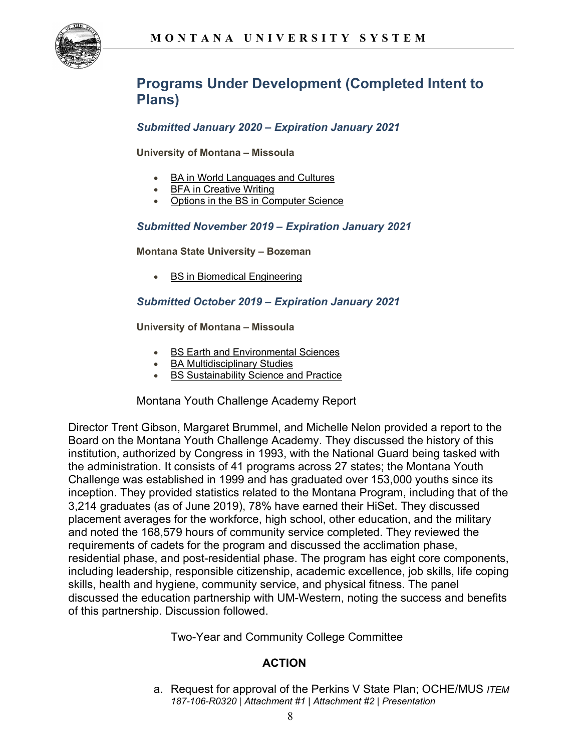

# **Programs Under Development (Completed Intent to Plans)**

#### *Submitted January 2020 – Expiration January 2021*

**University of Montana – Missoula**

- **[BA in World Languages and Cultures](https://mus.edu/che/arsa/IntenttoPlan/2020/ITP_BA_World-Languages-and-Cultures.pdf)**
- [BFA in Creative Writing](https://mus.edu/che/arsa/IntenttoPlan/2020/ITP_BFA_Creative-Writing.pdf)
- [Options in the BS in Computer Science](https://mus.edu/che/arsa/IntenttoPlan/2020/ITP_BS_Computer-Science-options.pdf)

#### *Submitted November 2019 – Expiration January 2021*

**Montana State University – Bozeman**

**[BS in Biomedical Engineering](https://mus.edu/che/arsa/IntenttoPlan/2020/BSBioMedIP.pdf)** 

#### *Submitted October 2019 – Expiration January 2021*

**University of Montana – Missoula**

- [BS Earth and Environmental Sciences](https://mus.edu/che/arsa/IntenttoPlan/2020/ITP_BS_Earth-and-Environmental-Sciences%20.pdf)
- [BA Multidisciplinary Studies](https://mus.edu/che/arsa/IntenttoPlan/2020/ITP_MultidisciplinaryBA.pdf)
- **[BS Sustainability Science and Practice](https://mus.edu/che/arsa/IntenttoPlan/2020/ITP_Sustainability-Science-Practice.pdf)**

Montana Youth Challenge Academy Report

Director Trent Gibson, Margaret Brummel, and Michelle Nelon provided a report to the Board on the Montana Youth Challenge Academy. They discussed the history of this institution, authorized by Congress in 1993, with the National Guard being tasked with the administration. It consists of 41 programs across 27 states; the Montana Youth Challenge was established in 1999 and has graduated over 153,000 youths since its inception. They provided statistics related to the Montana Program, including that of the 3,214 graduates (as of June 2019), 78% have earned their HiSet. They discussed placement averages for the workforce, high school, other education, and the military and noted the 168,579 hours of community service completed. They reviewed the requirements of cadets for the program and discussed the acclimation phase, residential phase, and post-residential phase. The program has eight core components, including leadership, responsible citizenship, academic excellence, job skills, life coping skills, health and hygiene, community service, and physical fitness. The panel discussed the education partnership with UM-Western, noting the success and benefits of this partnership. Discussion followed.

Two-Year and Community College Committee

#### **ACTION**

a. Request for approval of the Perkins V State Plan; OCHE/MUS *ITEM 187-106-R0320 | Attachment #1 | Attachment #2 | Presentation*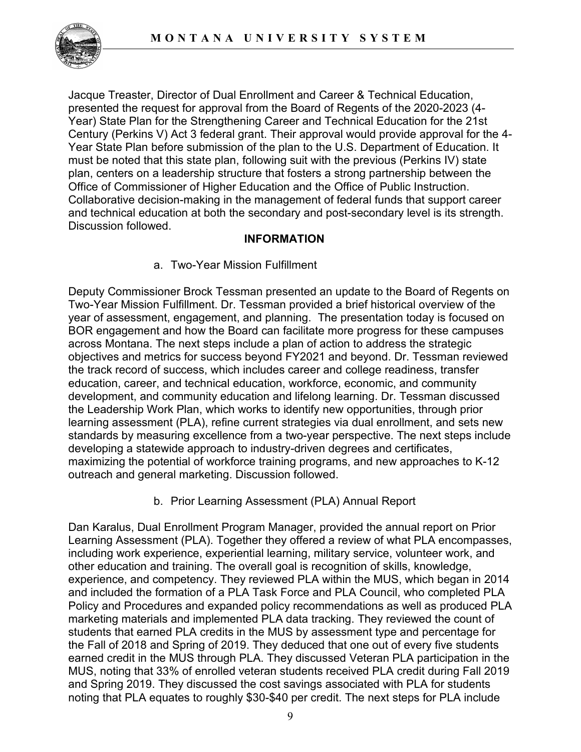

Jacque Treaster, Director of Dual Enrollment and Career & Technical Education, presented the request for approval from the Board of Regents of the 2020-2023 (4- Year) State Plan for the Strengthening Career and Technical Education for the 21st Century (Perkins V) Act 3 federal grant. Their approval would provide approval for the 4- Year State Plan before submission of the plan to the U.S. Department of Education. It must be noted that this state plan, following suit with the previous (Perkins IV) state plan, centers on a leadership structure that fosters a strong partnership between the Office of Commissioner of Higher Education and the Office of Public Instruction. Collaborative decision-making in the management of federal funds that support career and technical education at both the secondary and post-secondary level is its strength. Discussion followed.

### **INFORMATION**

### a. Two-Year Mission Fulfillment

Deputy Commissioner Brock Tessman presented an update to the Board of Regents on Two-Year Mission Fulfillment. Dr. Tessman provided a brief historical overview of the year of assessment, engagement, and planning. The presentation today is focused on BOR engagement and how the Board can facilitate more progress for these campuses across Montana. The next steps include a plan of action to address the strategic objectives and metrics for success beyond FY2021 and beyond. Dr. Tessman reviewed the track record of success, which includes career and college readiness, transfer education, career, and technical education, workforce, economic, and community development, and community education and lifelong learning. Dr. Tessman discussed the Leadership Work Plan, which works to identify new opportunities, through prior learning assessment (PLA), refine current strategies via dual enrollment, and sets new standards by measuring excellence from a two-year perspective. The next steps include developing a statewide approach to industry-driven degrees and certificates, maximizing the potential of workforce training programs, and new approaches to K-12 outreach and general marketing. Discussion followed.

### b. Prior Learning Assessment (PLA) Annual Report

Dan Karalus, Dual Enrollment Program Manager, provided the annual report on Prior Learning Assessment (PLA). Together they offered a review of what PLA encompasses, including work experience, experiential learning, military service, volunteer work, and other education and training. The overall goal is recognition of skills, knowledge, experience, and competency. They reviewed PLA within the MUS, which began in 2014 and included the formation of a PLA Task Force and PLA Council, who completed PLA Policy and Procedures and expanded policy recommendations as well as produced PLA marketing materials and implemented PLA data tracking. They reviewed the count of students that earned PLA credits in the MUS by assessment type and percentage for the Fall of 2018 and Spring of 2019. They deduced that one out of every five students earned credit in the MUS through PLA. They discussed Veteran PLA participation in the MUS, noting that 33% of enrolled veteran students received PLA credit during Fall 2019 and Spring 2019. They discussed the cost savings associated with PLA for students noting that PLA equates to roughly \$30-\$40 per credit. The next steps for PLA include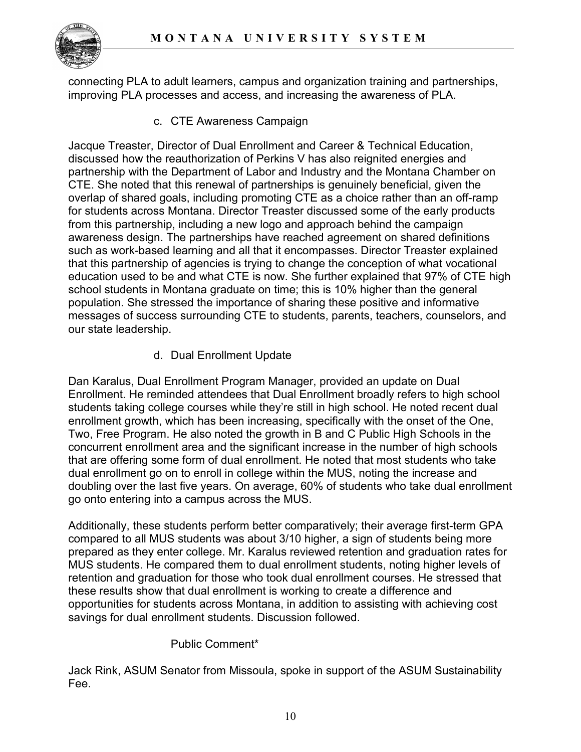

connecting PLA to adult learners, campus and organization training and partnerships, improving PLA processes and access, and increasing the awareness of PLA.

c. CTE Awareness Campaign

Jacque Treaster, Director of Dual Enrollment and Career & Technical Education, discussed how the reauthorization of Perkins V has also reignited energies and partnership with the Department of Labor and Industry and the Montana Chamber on CTE. She noted that this renewal of partnerships is genuinely beneficial, given the overlap of shared goals, including promoting CTE as a choice rather than an off-ramp for students across Montana. Director Treaster discussed some of the early products from this partnership, including a new logo and approach behind the campaign awareness design. The partnerships have reached agreement on shared definitions such as work-based learning and all that it encompasses. Director Treaster explained that this partnership of agencies is trying to change the conception of what vocational education used to be and what CTE is now. She further explained that 97% of CTE high school students in Montana graduate on time; this is 10% higher than the general population. She stressed the importance of sharing these positive and informative messages of success surrounding CTE to students, parents, teachers, counselors, and our state leadership.

d. Dual Enrollment Update

Dan Karalus, Dual Enrollment Program Manager, provided an update on Dual Enrollment. He reminded attendees that Dual Enrollment broadly refers to high school students taking college courses while they're still in high school. He noted recent dual enrollment growth, which has been increasing, specifically with the onset of the One, Two, Free Program. He also noted the growth in B and C Public High Schools in the concurrent enrollment area and the significant increase in the number of high schools that are offering some form of dual enrollment. He noted that most students who take dual enrollment go on to enroll in college within the MUS, noting the increase and doubling over the last five years. On average, 60% of students who take dual enrollment go onto entering into a campus across the MUS.

Additionally, these students perform better comparatively; their average first-term GPA compared to all MUS students was about 3/10 higher, a sign of students being more prepared as they enter college. Mr. Karalus reviewed retention and graduation rates for MUS students. He compared them to dual enrollment students, noting higher levels of retention and graduation for those who took dual enrollment courses. He stressed that these results show that dual enrollment is working to create a difference and opportunities for students across Montana, in addition to assisting with achieving cost savings for dual enrollment students. Discussion followed.

### Public Comment\*

Jack Rink, ASUM Senator from Missoula, spoke in support of the ASUM Sustainability Fee.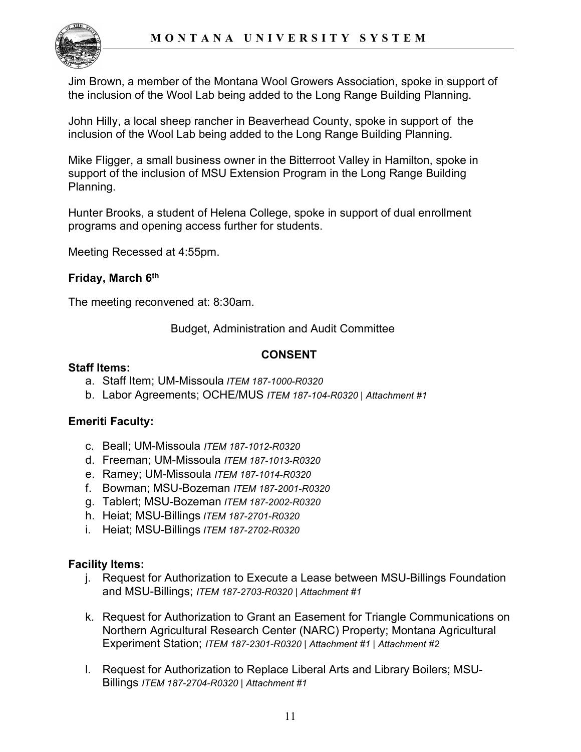

Jim Brown, a member of the Montana Wool Growers Association, spoke in support of the inclusion of the Wool Lab being added to the Long Range Building Planning.

John Hilly, a local sheep rancher in Beaverhead County, spoke in support of the inclusion of the Wool Lab being added to the Long Range Building Planning.

Mike Fligger, a small business owner in the Bitterroot Valley in Hamilton, spoke in support of the inclusion of MSU Extension Program in the Long Range Building Planning.

Hunter Brooks, a student of Helena College, spoke in support of dual enrollment programs and opening access further for students.

Meeting Recessed at 4:55pm.

### **Friday, March 6th**

The meeting reconvened at: 8:30am.

Budget, Administration and Audit Committee

### **CONSENT**

#### **Staff Items:**

- a. Staff Item; UM-Missoula *ITEM 187-1000-R0320*
- b. Labor Agreements; OCHE/MUS *ITEM 187-104-R0320 | Attachment #1*

### **Emeriti Faculty:**

- c. Beall; UM-Missoula *ITEM 187-1012-R0320*
- d. Freeman; UM-Missoula *ITEM 187-1013-R0320*
- e. Ramey; UM-Missoula *ITEM 187-1014-R0320*
- f. Bowman; MSU-Bozeman *ITEM 187-2001-R0320*
- g. Tablert; MSU-Bozeman *ITEM 187-2002-R0320*
- h. Heiat; MSU-Billings *ITEM 187-2701-R0320*
- i. Heiat; MSU-Billings *ITEM 187-2702-R0320*

#### **Facility Items:**

- j. Request for Authorization to Execute a Lease between MSU-Billings Foundation and MSU-Billings; *ITEM 187-2703-R0320 | Attachment #1*
- k. Request for Authorization to Grant an Easement for Triangle Communications on Northern Agricultural Research Center (NARC) Property; Montana Agricultural Experiment Station; *ITEM 187-2301-R0320 | Attachment #1 | Attachment #2*
- l. Request for Authorization to Replace Liberal Arts and Library Boilers; MSU-Billings *ITEM 187-2704-R0320 | Attachment #1*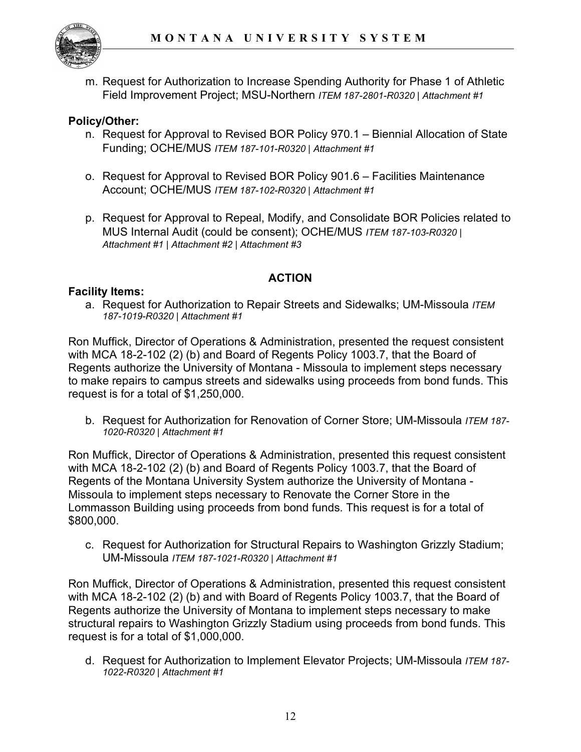

m. Request for Authorization to Increase Spending Authority for Phase 1 of Athletic Field Improvement Project; MSU-Northern *ITEM 187-2801-R0320 | Attachment #1*

# **Policy/Other:**

- n. Request for Approval to Revised BOR Policy 970.1 Biennial Allocation of State Funding; OCHE/MUS *ITEM 187-101-R0320 | Attachment #1*
- o. Request for Approval to Revised BOR Policy 901.6 Facilities Maintenance Account; OCHE/MUS *ITEM 187-102-R0320 | Attachment #1*
- p. Request for Approval to Repeal, Modify, and Consolidate BOR Policies related to MUS Internal Audit (could be consent); OCHE/MUS *ITEM 187-103-R0320 | Attachment #1 | Attachment #2 | Attachment #3*

# **ACTION**

### **Facility Items:**

a. Request for Authorization to Repair Streets and Sidewalks; UM-Missoula *ITEM 187-1019-R0320 | Attachment #1*

Ron Muffick, Director of Operations & Administration, presented the request consistent with MCA 18-2-102 (2) (b) and Board of Regents Policy 1003.7, that the Board of Regents authorize the University of Montana - Missoula to implement steps necessary to make repairs to campus streets and sidewalks using proceeds from bond funds. This request is for a total of \$1,250,000.

b. Request for Authorization for Renovation of Corner Store; UM-Missoula *ITEM 187- 1020-R0320 | Attachment #1*

Ron Muffick, Director of Operations & Administration, presented this request consistent with MCA 18-2-102 (2) (b) and Board of Regents Policy 1003.7, that the Board of Regents of the Montana University System authorize the University of Montana - Missoula to implement steps necessary to Renovate the Corner Store in the Lommasson Building using proceeds from bond funds. This request is for a total of \$800,000.

c. Request for Authorization for Structural Repairs to Washington Grizzly Stadium; UM-Missoula *ITEM 187-1021-R0320 | Attachment #1*

Ron Muffick, Director of Operations & Administration, presented this request consistent with MCA 18-2-102 (2) (b) and with Board of Regents Policy 1003.7, that the Board of Regents authorize the University of Montana to implement steps necessary to make structural repairs to Washington Grizzly Stadium using proceeds from bond funds. This request is for a total of \$1,000,000.

d. Request for Authorization to Implement Elevator Projects; UM-Missoula *ITEM 187- 1022-R0320 | Attachment #1*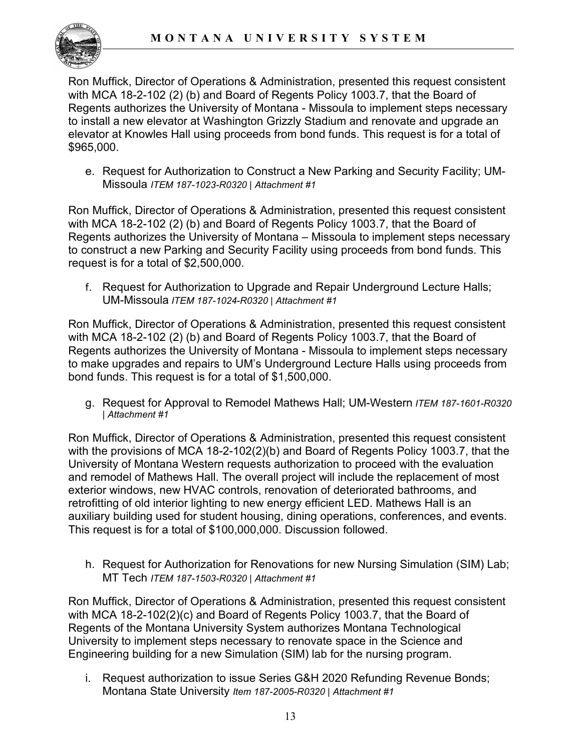Ron Muffick, Director of Operations & Administration, presented this request consistent with MCA 18-2-102 (2) (b) and Board of Regents Policy 1003.7, that the Board of Regents authorizes the University of Montana - Missoula to implement steps necessary to install a new elevator at Washington Grizzly Stadium and renovate and upgrade an elevator at Knowles Hall using proceeds from bond funds. This request is for a total of \$965,000.

e. Request for Authorization to Construct a New Parking and Security Facility; UM-Missoula *ITEM 187-1023-R0320 | Attachment #1*

Ron Muffick, Director of Operations & Administration, presented this request consistent with MCA 18-2-102 (2) (b) and Board of Regents Policy 1003.7, that the Board of Regents authorizes the University of Montana – Missoula to implement steps necessary to construct a new Parking and Security Facility using proceeds from bond funds. This request is for a total of \$2,500,000.

f. Request for Authorization to Upgrade and Repair Underground Lecture Halls; UM-Missoula *ITEM 187-1024-R0320 | Attachment #1*

Ron Muffick, Director of Operations & Administration, presented this request consistent with MCA 18-2-102 (2) (b) and Board of Regents Policy 1003.7, that the Board of Regents authorizes the University of Montana - Missoula to implement steps necessary to make upgrades and repairs to UM's Underground Lecture Halls using proceeds from bond funds. This request is for a total of \$1,500,000.

g. Request for Approval to Remodel Mathews Hall; UM-Western *ITEM 187-1601-R0320 | Attachment #1*

Ron Muffick, Director of Operations & Administration, presented this request consistent with the provisions of MCA 18-2-102(2)(b) and Board of Regents Policy 1003.7, that the University of Montana Western requests authorization to proceed with the evaluation and remodel of Mathews Hall. The overall project will include the replacement of most exterior windows, new HVAC controls, renovation of deteriorated bathrooms, and retrofitting of old interior lighting to new energy efficient LED. Mathews Hall is an auxiliary building used for student housing, dining operations, conferences, and events. This request is for a total of \$100,000,000. Discussion followed.

h. Request for Authorization for Renovations for new Nursing Simulation (SIM) Lab; MT Tech *ITEM 187-1503-R0320 | Attachment #1*

Ron Muffick, Director of Operations & Administration, presented this request consistent with MCA 18-2-102(2)(c) and Board of Regents Policy 1003.7, that the Board of Regents of the Montana University System authorizes Montana Technological University to implement steps necessary to renovate space in the Science and Engineering building for a new Simulation (SIM) lab for the nursing program.

i. Request authorization to issue Series G&H 2020 Refunding Revenue Bonds; Montana State University *Item 187-2005-R0320 | Attachment #1*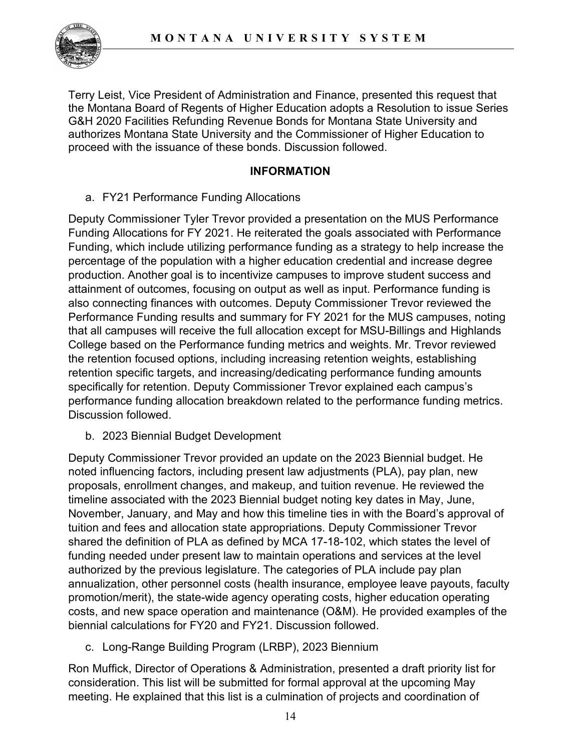

Terry Leist, Vice President of Administration and Finance, presented this request that the Montana Board of Regents of Higher Education adopts a Resolution to issue Series G&H 2020 Facilities Refunding Revenue Bonds for Montana State University and authorizes Montana State University and the Commissioner of Higher Education to proceed with the issuance of these bonds. Discussion followed.

### **INFORMATION**

### a. FY21 Performance Funding Allocations

Deputy Commissioner Tyler Trevor provided a presentation on the MUS Performance Funding Allocations for FY 2021. He reiterated the goals associated with Performance Funding, which include utilizing performance funding as a strategy to help increase the percentage of the population with a higher education credential and increase degree production. Another goal is to incentivize campuses to improve student success and attainment of outcomes, focusing on output as well as input. Performance funding is also connecting finances with outcomes. Deputy Commissioner Trevor reviewed the Performance Funding results and summary for FY 2021 for the MUS campuses, noting that all campuses will receive the full allocation except for MSU-Billings and Highlands College based on the Performance funding metrics and weights. Mr. Trevor reviewed the retention focused options, including increasing retention weights, establishing retention specific targets, and increasing/dedicating performance funding amounts specifically for retention. Deputy Commissioner Trevor explained each campus's performance funding allocation breakdown related to the performance funding metrics. Discussion followed.

b. 2023 Biennial Budget Development

Deputy Commissioner Trevor provided an update on the 2023 Biennial budget. He noted influencing factors, including present law adjustments (PLA), pay plan, new proposals, enrollment changes, and makeup, and tuition revenue. He reviewed the timeline associated with the 2023 Biennial budget noting key dates in May, June, November, January, and May and how this timeline ties in with the Board's approval of tuition and fees and allocation state appropriations. Deputy Commissioner Trevor shared the definition of PLA as defined by MCA 17-18-102, which states the level of funding needed under present law to maintain operations and services at the level authorized by the previous legislature. The categories of PLA include pay plan annualization, other personnel costs (health insurance, employee leave payouts, faculty promotion/merit), the state-wide agency operating costs, higher education operating costs, and new space operation and maintenance (O&M). He provided examples of the biennial calculations for FY20 and FY21. Discussion followed.

c. Long-Range Building Program (LRBP), 2023 Biennium

Ron Muffick, Director of Operations & Administration, presented a draft priority list for consideration. This list will be submitted for formal approval at the upcoming May meeting. He explained that this list is a culmination of projects and coordination of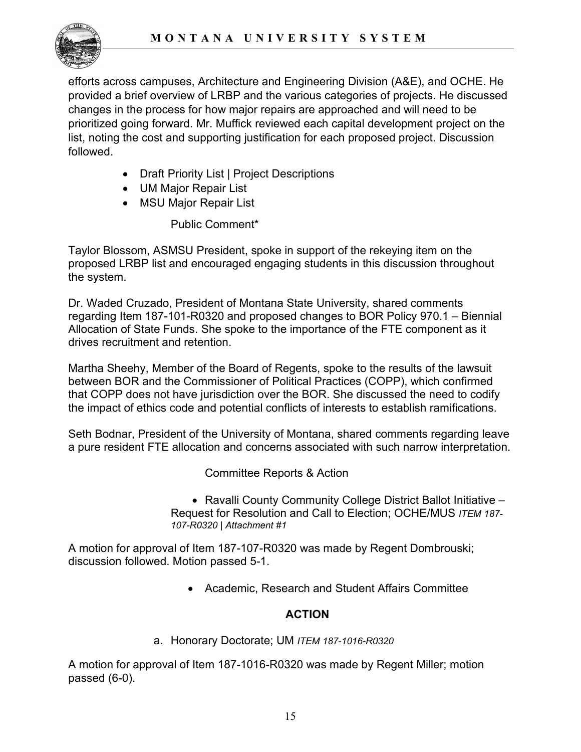

efforts across campuses, Architecture and Engineering Division (A&E), and OCHE. He provided a brief overview of LRBP and the various categories of projects. He discussed changes in the process for how major repairs are approached and will need to be prioritized going forward. Mr. Muffick reviewed each capital development project on the list, noting the cost and supporting justification for each proposed project. Discussion followed.

- Draft Priority List | Project Descriptions
- UM Major Repair List
- MSU Major Repair List

Public Comment\*

Taylor Blossom, ASMSU President, spoke in support of the rekeying item on the proposed LRBP list and encouraged engaging students in this discussion throughout the system.

Dr. Waded Cruzado, President of Montana State University, shared comments regarding Item 187-101-R0320 and proposed changes to BOR Policy 970.1 – Biennial Allocation of State Funds. She spoke to the importance of the FTE component as it drives recruitment and retention.

Martha Sheehy, Member of the Board of Regents, spoke to the results of the lawsuit between BOR and the Commissioner of Political Practices (COPP), which confirmed that COPP does not have jurisdiction over the BOR. She discussed the need to codify the impact of ethics code and potential conflicts of interests to establish ramifications.

Seth Bodnar, President of the University of Montana, shared comments regarding leave a pure resident FTE allocation and concerns associated with such narrow interpretation.

Committee Reports & Action

• Ravalli County Community College District Ballot Initiative – Request for Resolution and Call to Election; OCHE/MUS *ITEM 187- 107-R0320 | Attachment #1*

A motion for approval of Item 187-107-R0320 was made by Regent Dombrouski; discussion followed. Motion passed 5-1.

• Academic, Research and Student Affairs Committee

# **ACTION**

a. Honorary Doctorate; UM *ITEM 187-1016-R0320*

A motion for approval of Item 187-1016-R0320 was made by Regent Miller; motion passed (6-0).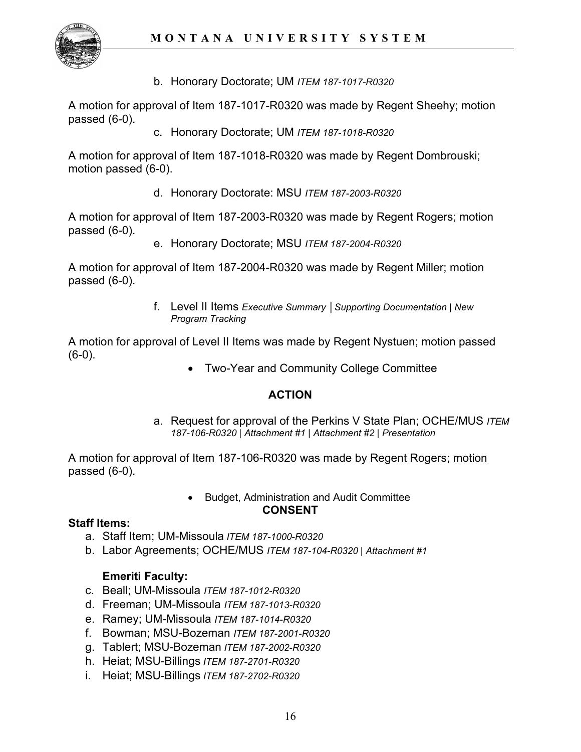

b. Honorary Doctorate; UM *ITEM 187-1017-R0320*

A motion for approval of Item 187-1017-R0320 was made by Regent Sheehy; motion passed (6-0).

c. Honorary Doctorate; UM *ITEM 187-1018-R0320*

A motion for approval of Item 187-1018-R0320 was made by Regent Dombrouski; motion passed (6-0).

d. Honorary Doctorate: MSU *ITEM 187-2003-R0320*

A motion for approval of Item 187-2003-R0320 was made by Regent Rogers; motion passed (6-0).

e. Honorary Doctorate; MSU *ITEM 187-2004-R0320*

A motion for approval of Item 187-2004-R0320 was made by Regent Miller; motion passed (6-0).

> f. Level II Items *Executive Summary │Supporting Documentation | New Program Tracking*

A motion for approval of Level II Items was made by Regent Nystuen; motion passed  $(6-0)$ .

• Two-Year and Community College Committee

### **ACTION**

a. Request for approval of the Perkins V State Plan; OCHE/MUS *ITEM 187-106-R0320 | Attachment #1 | Attachment #2 | Presentation* 

A motion for approval of Item 187-106-R0320 was made by Regent Rogers; motion passed (6-0).

#### • Budget, Administration and Audit Committee **CONSENT**

#### **Staff Items:**

- a. Staff Item; UM-Missoula *ITEM 187-1000-R0320*
- b. Labor Agreements; OCHE/MUS *ITEM 187-104-R0320 | Attachment #1*

### **Emeriti Faculty:**

- c. Beall; UM-Missoula *ITEM 187-1012-R0320*
- d. Freeman; UM-Missoula *ITEM 187-1013-R0320*
- e. Ramey; UM-Missoula *ITEM 187-1014-R0320*
- f. Bowman; MSU-Bozeman *ITEM 187-2001-R0320*
- g. Tablert; MSU-Bozeman *ITEM 187-2002-R0320*
- h. Heiat; MSU-Billings *ITEM 187-2701-R0320*
- i. Heiat; MSU-Billings *ITEM 187-2702-R0320*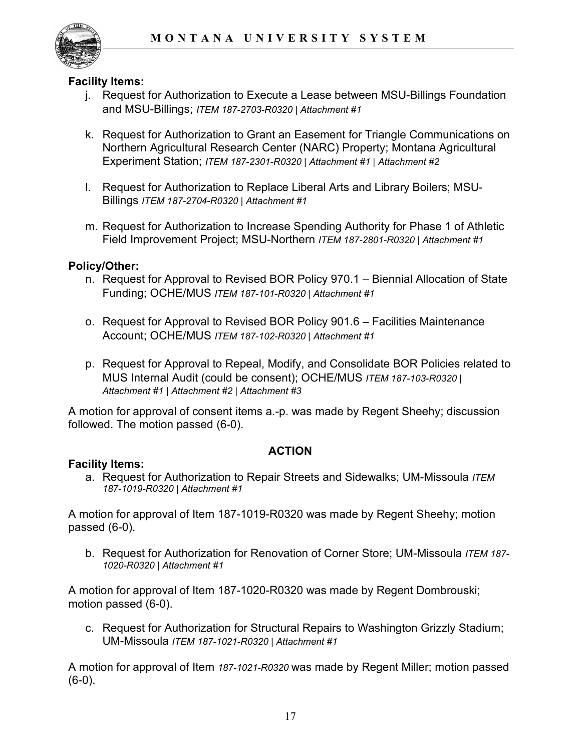

#### **Facility Items:**

- j. Request for Authorization to Execute a Lease between MSU-Billings Foundation and MSU-Billings; *ITEM 187-2703-R0320 | Attachment #1*
- k. Request for Authorization to Grant an Easement for Triangle Communications on Northern Agricultural Research Center (NARC) Property; Montana Agricultural Experiment Station; *ITEM 187-2301-R0320 | Attachment #1 | Attachment #2*
- l. Request for Authorization to Replace Liberal Arts and Library Boilers; MSU-Billings *ITEM 187-2704-R0320 | Attachment #1*
- m. Request for Authorization to Increase Spending Authority for Phase 1 of Athletic Field Improvement Project; MSU-Northern *ITEM 187-2801-R0320 | Attachment #1*

### **Policy/Other:**

- n. Request for Approval to Revised BOR Policy 970.1 Biennial Allocation of State Funding; OCHE/MUS *ITEM 187-101-R0320 | Attachment #1*
- o. Request for Approval to Revised BOR Policy 901.6 Facilities Maintenance Account; OCHE/MUS *ITEM 187-102-R0320 | Attachment #1*
- p. Request for Approval to Repeal, Modify, and Consolidate BOR Policies related to MUS Internal Audit (could be consent); OCHE/MUS *ITEM 187-103-R0320 | Attachment #1 | Attachment #2 | Attachment #3*

A motion for approval of consent items a.-p. was made by Regent Sheehy; discussion followed. The motion passed (6-0).

### **ACTION**

#### **Facility Items:**

a. Request for Authorization to Repair Streets and Sidewalks; UM-Missoula *ITEM 187-1019-R0320 | Attachment #1*

A motion for approval of Item 187-1019-R0320 was made by Regent Sheehy; motion passed (6-0).

b. Request for Authorization for Renovation of Corner Store; UM-Missoula *ITEM 187- 1020-R0320 | Attachment #1*

A motion for approval of Item 187-1020-R0320 was made by Regent Dombrouski; motion passed (6-0).

c. Request for Authorization for Structural Repairs to Washington Grizzly Stadium; UM-Missoula *ITEM 187-1021-R0320 | Attachment #1*

A motion for approval of Item *187-1021-R0320* was made by Regent Miller; motion passed (6-0).